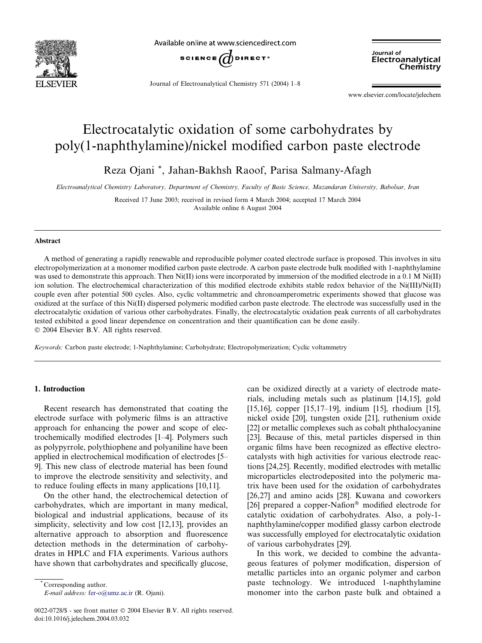

Available online at www.sciencedirect.com



Journal of Electroanalytical Chemistry 571 (2004) 1–8

Journal of Electroanalytical Chemistry

www.elsevier.com/locate/jelechem

# Electrocatalytic oxidation of some carbohydrates by poly(1-naphthylamine)/nickel modified carbon paste electrode

Reza Ojani \*, Jahan-Bakhsh Raoof, Parisa Salmany-Afagh

Electroanalytical Chemistry Laboratory, Department of Chemistry, Faculty of Basic Science, Mazandaran University, Babolsar, Iran

Received 17 June 2003; received in revised form 4 March 2004; accepted 17 March 2004 Available online 6 August 2004

## Abstract

A method of generating a rapidly renewable and reproducible polymer coated electrode surface is proposed. This involves in situ electropolymerization at a monomer modified carbon paste electrode. A carbon paste electrode bulk modified with 1-naphthylamine was used to demonstrate this approach. Then  $Ni(II)$  ions were incorporated by immersion of the modified electrode in a 0.1 M Ni(II) ion solution. The electrochemical characterization of this modified electrode exhibits stable redox behavior of the Ni(III)/Ni(II) couple even after potential 500 cycles. Also, cyclic voltammetric and chronoamperometric experiments showed that glucose was oxidized at the surface of this Ni(II) dispersed polymeric modified carbon paste electrode. The electrode was successfully used in the electrocatalytic oxidation of various other carbohydrates. Finally, the electrocatalytic oxidation peak currents of all carbohydrates tested exhibited a good linear dependence on concentration and their quantification can be done easily. 2004 Elsevier B.V. All rights reserved.

Keywords: Carbon paste electrode; 1-Naphthylamine; Carbohydrate; Electropolymerization; Cyclic voltammetry

## 1. Introduction

Recent research has demonstrated that coating the electrode surface with polymeric films is an attractive approach for enhancing the power and scope of electrochemically modified electrodes [1–4]. Polymers such as polypyrrole, polythiophene and polyaniline have been applied in electrochemical modification of electrodes [5– 9]. This new class of electrode material has been found to improve the electrode sensitivity and selectivity, and to reduce fouling effects in many applications [10,11].

On the other hand, the electrochemical detection of carbohydrates, which are important in many medical, biological and industrial applications, because of its simplicity, selectivity and low cost [12,13], provides an alternative approach to absorption and fluorescence detection methods in the determination of carbohydrates in HPLC and FIA experiments. Various authors have shown that carbohydrates and specifically glucose,

E-mail address: [fer-o@umz.ac.ir](mail to: fer-o@umz.ac.ir) (R. Ojani).

0022-0728/\$ - see front matter  $\odot$  2004 Elsevier B.V. All rights reserved. doi:10.1016/j.jelechem.2004.03.032

can be oxidized directly at a variety of electrode materials, including metals such as platinum [14,15], gold [15,16], copper [15,17–19], indium [15], rhodium [15], nickel oxide [20], tungsten oxide [21], ruthenium oxide [22] or metallic complexes such as cobalt phthalocyanine [23]. Because of this, metal particles dispersed in thin organic films have been recognized as effective electrocatalysts with high activities for various electrode reactions [24,25]. Recently, modified electrodes with metallic microparticles electrodeposited into the polymeric matrix have been used for the oxidation of carbohydrates [26,27] and amino acids [28]. Kuwana and coworkers [26] prepared a copper-Nafion® modified electrode for catalytic oxidation of carbohydrates. Also, a poly-1 naphthylamine/copper modified glassy carbon electrode was successfully employed for electrocatalytic oxidation of various carbohydrates [29].

In this work, we decided to combine the advantageous features of polymer modification, dispersion of metallic particles into an organic polymer and carbon paste technology. We introduced 1-naphthylamine monomer into the carbon paste bulk and obtained a

Corresponding author.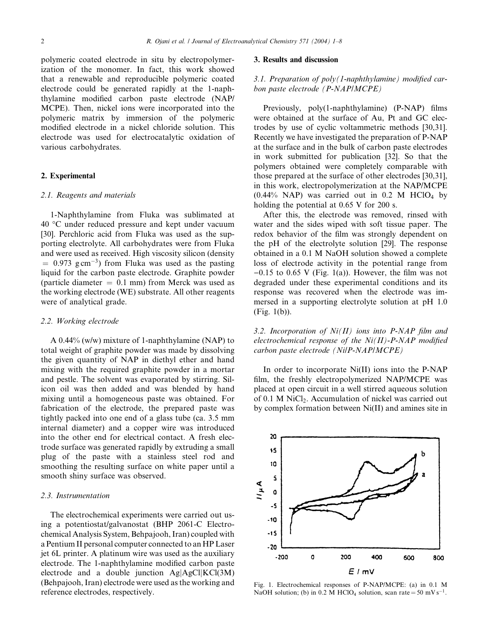polymeric coated electrode in situ by electropolymerization of the monomer. In fact, this work showed that a renewable and reproducible polymeric coated electrode could be generated rapidly at the 1-naphthylamine modified carbon paste electrode (NAP/ MCPE). Then, nickel ions were incorporated into the polymeric matrix by immersion of the polymeric modified electrode in a nickel chloride solution. This electrode was used for electrocatalytic oxidation of various carbohydrates.

# 2. Experimental

## 2.1. Reagents and materials

1-Naphthylamine from Fluka was sublimated at 40 °C under reduced pressure and kept under vacuum [30]. Perchloric acid from Fluka was used as the supporting electrolyte. All carbohydrates were from Fluka and were used as received. High viscosity silicon (density  $= 0.973$  g cm<sup>-3</sup>) from Fluka was used as the pasting liquid for the carbon paste electrode. Graphite powder (particle diameter  $= 0.1$  mm) from Merck was used as the working electrode (WE) substrate. All other reagents were of analytical grade.

## 2.2. Working electrode

A 0.44% (w/w) mixture of 1-naphthylamine (NAP) to total weight of graphite powder was made by dissolving the given quantity of NAP in diethyl ether and hand mixing with the required graphite powder in a mortar and pestle. The solvent was evaporated by stirring. Silicon oil was then added and was blended by hand mixing until a homogeneous paste was obtained. For fabrication of the electrode, the prepared paste was tightly packed into one end of a glass tube (ca. 3.5 mm internal diameter) and a copper wire was introduced into the other end for electrical contact. A fresh electrode surface was generated rapidly by extruding a small plug of the paste with a stainless steel rod and smoothing the resulting surface on white paper until a smooth shiny surface was observed.

# 2.3. Instrumentation

The electrochemical experiments were carried out using a potentiostat/galvanostat (BHP 2061-C Electrochemical Analysis System, Behpajooh, Iran) coupled with a Pentium II personal computer connected to an HP Laser jet 6L printer. A platinum wire was used as the auxiliary electrode. The 1-naphthylamine modified carbon paste electrode and a double junction  $Ag[AgCl|KCl(3M)]$ (Behpajooh, Iran) electrode were used as the working and reference electrodes, respectively.

## 3. Results and discussion

# 3.1. Preparation of  $poly(1$ -naphthylamine) modified carbon paste electrode (P-NAP/MCPE)

Previously, poly(1-naphthylamine) (P-NAP) films were obtained at the surface of Au, Pt and GC electrodes by use of cyclic voltammetric methods [30,31]. Recently we have investigated the preparation of P-NAP at the surface and in the bulk of carbon paste electrodes in work submitted for publication [32]. So that the polymers obtained were completely comparable with those prepared at the surface of other electrodes [30,31], in this work, electropolymerization at the NAP/MCPE  $(0.44\%$  NAP) was carried out in 0.2 M HClO<sub>4</sub> by holding the potential at 0.65 V for 200 s.

After this, the electrode was removed, rinsed with water and the sides wiped with soft tissue paper. The redox behavior of the film was strongly dependent on the pH of the electrolyte solution [29]. The response obtained in a 0.1 M NaOH solution showed a complete loss of electrode activity in the potential range from  $-0.15$  to 0.65 V (Fig. 1(a)). However, the film was not degraded under these experimental conditions and its response was recovered when the electrode was immersed in a supporting electrolyte solution at pH 1.0 (Fig. 1(b)).

3.2. Incorporation of  $Ni(II)$  ions into P-NAP film and electrochemical response of the  $Ni(II)$ -P-NAP modified carbon paste electrode (Ni/P-NAP/MCPE)

In order to incorporate Ni(II) ions into the P-NAP film, the freshly electropolymerized NAP/MCPE was placed at open circuit in a well stirred aqueous solution of 0.1 M NiCl<sub>2</sub>. Accumulation of nickel was carried out by complex formation between Ni(II) and amines site in



Fig. 1. Electrochemical responses of P-NAP/MCPE: (a) in 0.1 M NaOH solution; (b) in 0.2 M HClO<sub>4</sub> solution, scan rate = 50 mV s<sup>-1</sup>.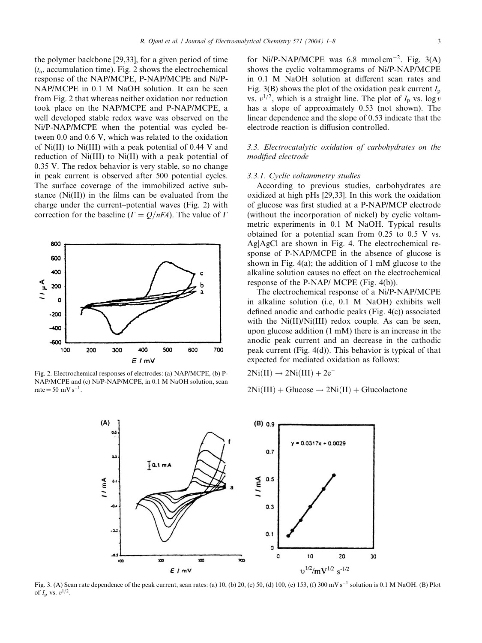the polymer backbone [29,33], for a given period of time  $(t<sub>a</sub>, accumulation time)$ . Fig. 2 shows the electrochemical response of the NAP/MCPE, P-NAP/MCPE and Ni/P-NAP/MCPE in 0.1 M NaOH solution. It can be seen from Fig. 2 that whereas neither oxidation nor reduction took place on the NAP/MCPE and P-NAP/MCPE, a well developed stable redox wave was observed on the Ni/P-NAP/MCPE when the potential was cycled between 0.0 and 0.6 V, which was related to the oxidation of Ni(II) to Ni(III) with a peak potential of 0.44 V and reduction of Ni(III) to Ni(II) with a peak potential of 0.35 V. The redox behavior is very stable, so no change in peak current is observed after 500 potential cycles. The surface coverage of the immobilized active substance (Ni(II)) in the films can be evaluated from the charge under the current–potential waves (Fig. 2) with correction for the baseline  $(\Gamma = Q/nFA)$ . The value of  $\Gamma$ 



Fig. 2. Electrochemical responses of electrodes: (a) NAP/MCPE, (b) P-NAP/MCPE and (c) Ni/P-NAP/MCPE, in 0.1 M NaOH solution, scan rate =  $50 \text{ mV s}^{-1}$ .

for Ni/P-NAP/MCPE was 6.8 mmol cm<sup>-2</sup>. Fig.  $3(A)$ shows the cyclic voltammograms of Ni/P-NAP/MCPE in 0.1 M NaOH solution at different scan rates and Fig. 3(B) shows the plot of the oxidation peak current  $I_p$ vs.  $v^{1/2}$ , which is a straight line. The plot of  $I_p$  vs. log v has a slope of approximately 0.53 (not shown). The linear dependence and the slope of 0.53 indicate that the electrode reaction is diffusion controlled.

# 3.3. Electrocatalytic oxidation of carbohydrates on the modified electrode

#### 3.3.1. Cyclic voltammetry studies

According to previous studies, carbohydrates are oxidized at high pHs [29,33]. In this work the oxidation of glucose was first studied at a P-NAP/MCP electrode (without the incorporation of nickel) by cyclic voltammetric experiments in 0.1 M NaOH. Typical results obtained for a potential scan from 0.25 to 0.5 V vs. AgjAgCl are shown in Fig. 4. The electrochemical response of P-NAP/MCPE in the absence of glucose is shown in Fig. 4(a); the addition of 1 mM glucose to the alkaline solution causes no effect on the electrochemical response of the P-NAP/ MCPE (Fig. 4(b)).

The electrochemical response of a Ni/P-NAP/MCPE in alkaline solution (i.e, 0.1 M NaOH) exhibits well defined anodic and cathodic peaks (Fig. 4(c)) associated with the  $Ni(II)/Ni(III)$  redox couple. As can be seen, upon glucose addition (1 mM) there is an increase in the anodic peak current and an decrease in the cathodic peak current (Fig. 4(d)). This behavior is typical of that expected for mediated oxidation as follows:

 $2Ni(II) \rightarrow 2Ni(III) + 2e^{-}$ 

 $2Ni(III) + Glucose \rightarrow 2Ni(II) + Glucolactone$ 



Fig. 3. (A) Scan rate dependence of the peak current, scan rates: (a) 10, (b) 20, (c) 50, (d) 100, (e) 153, (f) 300 mV s<sup>-1</sup> solution is 0.1 M NaOH. (B) Plot of  $I_p$  vs.  $v^{1/2}$ .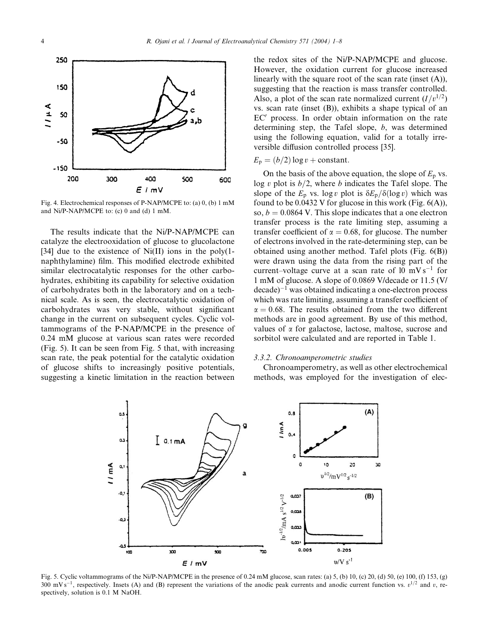

Fig. 4. Electrochemical responses of P-NAP/MCPE to: (a) 0, (b) 1 mM and Ni/P-NAP/MCPE to: (c) 0 and (d) 1 mM.

The results indicate that the Ni/P-NAP/MCPE can catalyze the electrooxidation of glucose to glucolactone [34] due to the existence of Ni(II) ions in the poly(1naphthylamine) film. This modified electrode exhibited similar electrocatalytic responses for the other carbohydrates, exhibiting its capability for selective oxidation of carbohydrates both in the laboratory and on a technical scale. As is seen, the electrocatalytic oxidation of carbohydrates was very stable, without significant change in the current on subsequent cycles. Cyclic voltammograms of the P-NAP/MCPE in the presence of 0.24 mM glucose at various scan rates were recorded (Fig. 5). It can be seen from Fig. 5 that, with increasing scan rate, the peak potential for the catalytic oxidation of glucose shifts to increasingly positive potentials, suggesting a kinetic limitation in the reaction between the redox sites of the Ni/P-NAP/MCPE and glucose. However, the oxidation current for glucose increased linearly with the square root of the scan rate (inset (A)), suggesting that the reaction is mass transfer controlled. Also, a plot of the scan rate normalized current  $(I/v^{1/2})$ vs. scan rate (inset (B)), exhibits a shape typical of an  $EC'$  process. In order obtain information on the rate determining step, the Tafel slope, b, was determined using the following equation, valid for a totally irreversible diffusion controlled process [35].

# $E_p = (b/2) \log v + \text{constant}.$

On the basis of the above equation, the slope of  $E_p$  vs. log v plot is  $b/2$ , where b indicates the Tafel slope. The slope of the  $E_p$  vs. log v plot is  $\delta E_p/\delta(\log v)$  which was found to be  $0.0432$  V for glucose in this work (Fig.  $6(A)$ ), so,  $b = 0.0864$  V. This slope indicates that a one electron transfer process is the rate limiting step, assuming a transfer coefficient of  $\alpha = 0.68$ , for glucose. The number of electrons involved in the rate-determining step, can be obtained using another method. Tafel plots (Fig. 6(B)) were drawn using the data from the rising part of the current–voltage curve at a scan rate of  $10 \text{ mV s}^{-1}$  for 1 mM of glucose. A slope of 0.0869 V/decade or 11.5 (V/  $decade$ <sup>-1</sup> was obtained indicating a one-electron process which was rate limiting, assuming a transfer coefficient of  $\alpha = 0.68$ . The results obtained from the two different methods are in good agreement. By use of this method, values of  $\alpha$  for galactose, lactose, maltose, sucrose and sorbitol were calculated and are reported in Table 1.

## 3.3.2. Chronoamperometric studies

Chronoamperometry, as well as other electrochemical methods, was employed for the investigation of elec-



Fig. 5. Cyclic voltammograms of the Ni/P-NAP/MCPE in the presence of 0.24 mM glucose, scan rates: (a) 5, (b) 10, (c) 20, (d) 50, (e) 100, (f) 153, (g) 300 mV s<sup>-1</sup>, respectively. Insets (A) and (B) represent the variations of the anodic peak currents and anodic current function vs.  $v^{1/2}$  and v, respectively, solution is 0.1 M NaOH.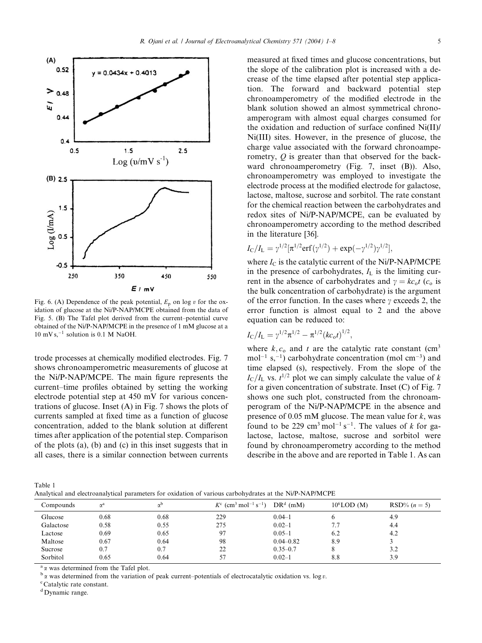

Fig. 6. (A) Dependence of the peak potential,  $E_p$  on log v for the oxidation of glucose at the Ni/P-NAP/MCPE obtained from the data of Fig. 5. (B) The Tafel plot derived from the current–potential curve obtained of the Ni/P-NAP/MCPE in the presence of 1 mM glucose at a  $10 \text{ mV s.}^{-1}$  solution is 0.1 M NaOH.

trode processes at chemically modified electrodes. Fig. 7 shows chronoamperometric measurements of glucose at the Ni/P-NAP/MCPE. The main figure represents the current–time profiles obtained by setting the working electrode potential step at 450 mV for various concentrations of glucose. Inset (A) in Fig. 7 shows the plots of currents sampled at fixed time as a function of glucose concentration, added to the blank solution at different times after application of the potential step. Comparison of the plots (a), (b) and (c) in this inset suggests that in all cases, there is a similar connection between currents

measured at fixed times and glucose concentrations, but the slope of the calibration plot is increased with a decrease of the time elapsed after potential step application. The forward and backward potential step chronoamperometry of the modified electrode in the blank solution showed an almost symmetrical chronoamperogram with almost equal charges consumed for the oxidation and reduction of surface confined Ni(II)/ Ni(III) sites. However, in the presence of glucose, the charge value associated with the forward chronoamperometry, O is greater than that observed for the backward chronoamperometry (Fig. 7, inset (B)). Also, chronoamperometry was employed to investigate the electrode process at the modified electrode for galactose, lactose, maltose, sucrose and sorbitol. The rate constant for the chemical reaction between the carbohydrates and redox sites of Ni/P-NAP/MCPE, can be evaluated by chronoamperometry according to the method described in the literature [36].

$$
I_{\rm C}/I_{\rm L} = \gamma^{1/2} [\pi^{1/2} \text{erf}(\gamma^{1/2}) + \exp(-\gamma^{1/2})\gamma^{1/2}],
$$

where  $I_C$  is the catalytic current of the Ni/P-NAP/MCPE in the presence of carbohydrates,  $I_L$  is the limiting current in the absence of carbohydrates and  $\gamma = kc_0 t$  (c<sub>o</sub> is the bulk concentration of carbohydrate) is the argument of the error function. In the cases where  $\gamma$  exceeds 2, the error function is almost equal to 2 and the above equation can be reduced to:

$$
I_{\rm C}/I_{\rm L} = \gamma^{1/2} \pi^{1/2} - \pi^{1/2} (k c_{\rm o} t)^{1/2},
$$

where  $k, c_0$  and t are the catalytic rate constant (cm<sup>3</sup>  $mol^{-1}$  s,<sup>-1</sup>) carbohydrate concentration (mol cm<sup>-3</sup>) and time elapsed (s), respectively. From the slope of the  $I_{\rm C}/I_{\rm L}$  vs.  $t^{1/2}$  plot we can simply calculate the value of k for a given concentration of substrate. Inset (C) of Fig. 7 shows one such plot, constructed from the chronoamperogram of the Ni/P-NAP/MCPE in the absence and presence of 0.05 mM glucose. The mean value for  $k$ , was found to be 229 cm<sup>3</sup> mol<sup>-1</sup> s<sup>-1</sup>. The values of k for galactose, lactose, maltose, sucrose and sorbitol were found by chronoamperometry according to the method describe in the above and are reported in Table 1. As can

| Table 1                                                                                                 |  |
|---------------------------------------------------------------------------------------------------------|--|
| Analytical and electroanalytical parameters for oxidation of various carbohydrates at the Ni/P-NAP/MCPE |  |

| Compounds | $\alpha^a$ |      | $K^{c}$ (cm <sup>3</sup> mol <sup>-1</sup> s <sup>-1</sup> ) | $DRd$ (mM)    | $10^6$ LOD $(M)$ | $RSD% (n = 5)$ |
|-----------|------------|------|--------------------------------------------------------------|---------------|------------------|----------------|
| Glucose   | 0.68       | 0.68 | 229                                                          | $0.04 - 1$    |                  | 4.9            |
| Galactose | 0.58       | 0.55 | 275                                                          | $0.02 - 1$    | 7.7              | 4.4            |
| Lactose   | 0.69       | 0.65 | 97                                                           | $0.05 - 1$    | 6.2              | 4.2            |
| Maltose   | 0.67       | 0.64 | 98                                                           | $0.04 - 0.82$ | 8.9              |                |
| Sucrose   | 0.7        | 0.7  | 22                                                           | $0.35 - 0.7$  |                  | 3.2            |
| Sorbitol  | 0.65       | 0.64 | 57                                                           | $0.02 - 1$    | 8.8              | 3.9            |
|           |            |      |                                                              |               |                  |                |

<sup>a</sup>  $\alpha$  was determined from the Tafel plot.<br><sup>b</sup>  $\alpha$  was determined from the variation of peak current–potentials of electrocatalytic oxidation vs. log *v*.

<sup>c</sup>Catalytic rate constant.

<sup>d</sup> Dynamic range.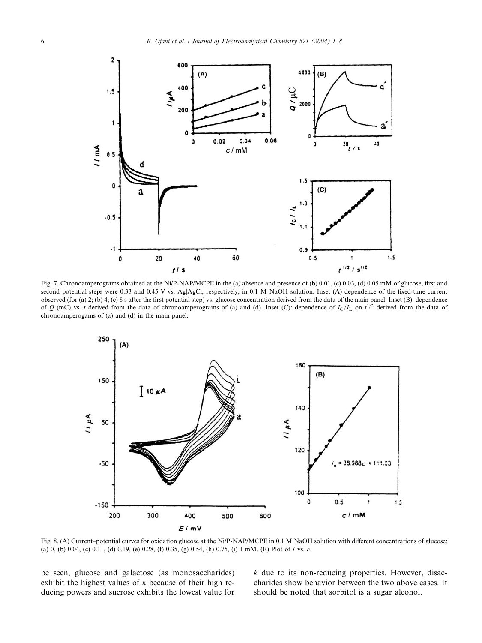

Fig. 7. Chronoamperograms obtained at the Ni/P-NAP/MCPE in the (a) absence and presence of (b) 0.01, (c) 0.03, (d) 0.05 mM of glucose, first and second potential steps were 0.33 and 0.45 V vs. Ag|AgCl, respectively, in 0.1 M NaOH solution. Inset (A) dependence of the fixed-time current observed (for (a) 2; (b) 4; (c) 8 s after the first potential step) vs. glucose concentration derived from the data of the main panel. Inset (B): dependence of Q (mC) vs. t derived from the data of chronoamperograms of (a) and (d). Inset (C): dependence of  $I_C/I_L$  on  $t^{1/2}$  derived from the data of chronoamperogams of (a) and (d) in the main panel.



Fig. 8. (A) Current–potential curves for oxidation glucose at the Ni/P-NAP/MCPE in 0.1 M NaOH solution with different concentrations of glucose: (a) 0, (b) 0.04, (c) 0.11, (d) 0.19, (e) 0.28, (f) 0.35, (g) 0.54, (h) 0.75, (i) 1 mM. (B) Plot of I vs. c.

be seen, glucose and galactose (as monosaccharides) exhibit the highest values of  $k$  because of their high reducing powers and sucrose exhibits the lowest value for  $k$  due to its non-reducing properties. However, disaccharides show behavior between the two above cases. It should be noted that sorbitol is a sugar alcohol.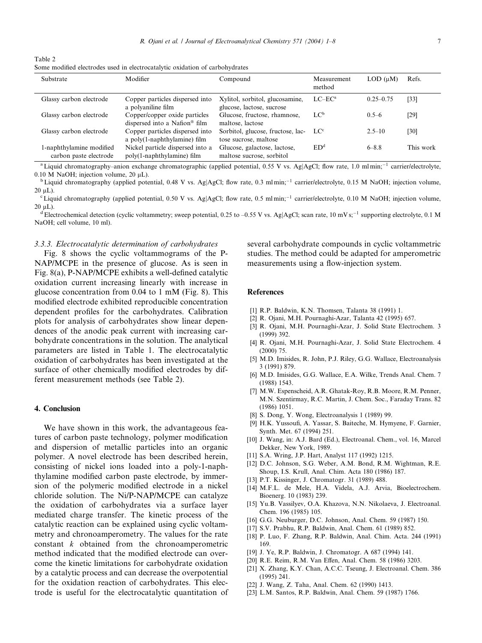| Table 2                                                                      |  |  |  |  |
|------------------------------------------------------------------------------|--|--|--|--|
| Some modified electrodes used in electrocatalytic oxidation of carbohydrates |  |  |  |  |

| Substrate                                          | Modifier                                                                   | Compound                                                     | Measurement<br>method | $LOD$ ( $uM$ ) | Refs.     |
|----------------------------------------------------|----------------------------------------------------------------------------|--------------------------------------------------------------|-----------------------|----------------|-----------|
| Glassy carbon electrode                            | Copper particles dispersed into<br>a polyaniline film                      | Xylitol, sorbitol, glucosamine,<br>glucose, lactose, sucrose | $LC-EC^a$             | $0.25 - 0.75$  | [33]      |
| Glassy carbon electrode                            | Copper/copper oxide particles<br>dispersed into a Nafion <sup>®</sup> film | Glucose, fructose, rhamnose,<br>maltose, lactose             | LC <sup>b</sup>       | $0.5-6$        | [29]      |
| Glassy carbon electrode                            | Copper particles dispersed into<br>a poly(1-naphthylamine) film            | Sorbitol, glucose, fructose, lac-<br>tose sucrose, maltose   | LC <sup>c</sup>       | $2.5 - 10$     | [30]      |
| 1-naphthylamine modified<br>carbon paste electrode | Nickel particle dispersed into a<br>poly(1-naphthylamine) film             | Glucose, galactose, lactose,<br>maltose sucrose, sorbitol    | ED <sup>d</sup>       | $6 - 8.8$      | This work |

<sup>a</sup> Liquid chromatography–anion exchange chromatographic (applied potential, 0.55 V vs. Ag|AgCl; flow rate, 1.0 ml min;<sup>-1</sup> carrier/electrolyte, 0.10 M NaOH; injection volume, 20 µL).<br><sup>b</sup>Liquid chromatography (applied potential, 0.48 V vs. Ag|AgCl; flow rate, 0.3 ml min;<sup>-1</sup> carrier/electrolyte, 0.15 M NaOH; injection volume,

 $20 \text{ uL}$ ).

<sup>c</sup> Liquid chromatography (applied potential, 0.50 V vs. Ag|AgCl; flow rate, 0.5 ml min;<sup>-1</sup> carrier/electrolyte, 0.10 M NaOH; injection volume, 20  $\mu$ L).<br><sup>d</sup>Electrochemical detection (cyclic voltammetry; sweep potential, 0.25 to –0.55 V vs. Ag|AgCl; scan rate, 10 mV s;<sup>-1</sup> supporting electrolyte, 0.1 M

NaOH; cell volume, 10 ml).

#### 3.3.3. Electrocatalytic determination of carbohydrates

Fig. 8 shows the cyclic voltammograms of the P-NAP/MCPE in the presence of glucose. As is seen in Fig. 8(a), P-NAP/MCPE exhibits a well-defined catalytic oxidation current increasing linearly with increase in glucose concentration from 0.04 to 1 mM (Fig. 8). This modified electrode exhibited reproducible concentration dependent profiles for the carbohydrates. Calibration plots for analysis of carbohydrates show linear dependences of the anodic peak current with increasing carbohydrate concentrations in the solution. The analytical parameters are listed in Table 1. The electrocatalytic oxidation of carbohydrates has been investigated at the surface of other chemically modified electrodes by different measurement methods (see Table 2).

## 4. Conclusion

We have shown in this work, the advantageous features of carbon paste technology, polymer modification and dispersion of metallic particles into an organic polymer. A novel electrode has been described herein, consisting of nickel ions loaded into a poly-1-naphthylamine modified carbon paste electrode, by immersion of the polymeric modified electrode in a nickel chloride solution. The Ni/P-NAP/MCPE can catalyze the oxidation of carbohydrates via a surface layer mediated charge transfer. The kinetic process of the catalytic reaction can be explained using cyclic voltammetry and chronoamperometry. The values for the rate constant k obtained from the chronoamperometric method indicated that the modified electrode can overcome the kinetic limitations for carbohydrate oxidation by a catalytic process and can decrease the overpotential for the oxidation reaction of carbohydrates. This electrode is useful for the electrocatalytic quantitation of several carbohydrate compounds in cyclic voltammetric studies. The method could be adapted for amperometric measurements using a flow-injection system.

## References

- [1] R.P. Baldwin, K.N. Thomsen, Talanta 38 (1991) 1.
- [2] R. Ojani, M.H. Pournaghi-Azar, Talanta 42 (1995) 657.
- [3] R. Ojani, M.H. Pournaghi-Azar, J. Solid State Electrochem. 3 (1999) 392.
- [4] R. Ojani, M.H. Pournaghi-Azar, J. Solid State Electrochem. 4 (2000) 75.
- [5] M.D. Imisides, R. John, P.J. Riley, G.G. Wallace, Electroanalysis 3 (1991) 879.
- [6] M.D. Imisides, G.G. Wallace, E.A. Wilke, Trends Anal. Chem. 7 (1988) 1543.
- [7] M.W. Espenscheid, A.R. Ghatak-Roy, R.B. Moore, R.M. Penner, M.N. Szentirmay, R.C. Martin, J. Chem. Soc., Faraday Trans. 82 (1986) 1051.
- [8] S. Dong, Y. Wong, Electroanalysis 1 (1989) 99.
- [9] H.K. Yussoufi, A. Yassar, S. Baiteche, M. Hymyene, F. Garnier, Synth. Met. 67 (1994) 251.
- [10] J. Wang, in: A.J. Bard (Ed.), Electroanal, Chem., vol. 16, Marcel Dekker, New York, 1989.
- [11] S.A. Wring, J.P. Hart, Analyst 117 (1992) 1215.
- [12] D.C. Johnson, S.G. Weber, A.M. Bond, R.M. Wightman, R.E. Shoup, I.S. Krull, Anal. Chim. Acta 180 (1986) 187.
- [13] P.T. Kissinger, J. Chromatogr. 31 (1989) 488.
- [14] M.F.L. de Mele, H.A. Videla, A.J. Arvia, Bioelectrochem. Bioenerg. 10 (1983) 239.
- [15] Yu.B. Vassilyev, O.A. Khazova, N.N. Nikolaeva, J. Electroanal. Chem. 196 (1985) 105.
- [16] G.G. Neuburger, D.C. Johnson, Anal. Chem. 59 (1987) 150.
- [17] S.V. Prabhu, R.P. Baldwin, Anal. Chem. 61 (1989) 852.
- [18] P. Luo, F. Zhang, R.P. Baldwin, Anal. Chim. Acta. 244 (1991) 169.
- [19] J. Ye, R.P. Baldwin, J. Chromatogr. A 687 (1994) 141.
- [20] R.E. Reim, R.M. Van Effen, Anal. Chem. 58 (1986) 3203.
- [21] X. Zhang, K.Y. Chan, A.C.C. Tseung, J. Electroanal. Chem. 386 (1995) 241.
- [22] J. Wang, Z. Taha, Anal. Chem. 62 (1990) 1413.
- [23] L.M. Santos, R.P. Baldwin, Anal. Chem. 59 (1987) 1766.